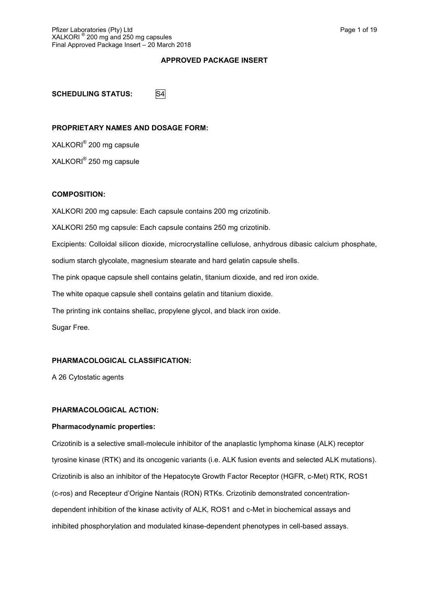## **APPROVED PACKAGE INSERT**

**SCHEDULING STATUS:** S4

## **PROPRIETARY NAMES AND DOSAGE FORM:**

XALKORI® 200 mg capsule XALKORI® 250 mg capsule

## **COMPOSITION:**

XALKORI 200 mg capsule: Each capsule contains 200 mg crizotinib. XALKORI 250 mg capsule: Each capsule contains 250 mg crizotinib. Excipients: Colloidal silicon dioxide, microcrystalline cellulose, anhydrous dibasic calcium phosphate, sodium starch glycolate, magnesium stearate and hard gelatin capsule shells. The pink opaque capsule shell contains gelatin, titanium dioxide, and red iron oxide. The white opaque capsule shell contains gelatin and titanium dioxide. The printing ink contains shellac, propylene glycol, and black iron oxide. Sugar Free.

# **PHARMACOLOGICAL CLASSIFICATION:**

A 26 Cytostatic agents

# **PHARMACOLOGICAL ACTION:**

## **Pharmacodynamic properties:**

Crizotinib is a selective small-molecule inhibitor of the anaplastic lymphoma kinase (ALK) receptor tyrosine kinase (RTK) and its oncogenic variants (i.e. ALK fusion events and selected ALK mutations). Crizotinib is also an inhibitor of the Hepatocyte Growth Factor Receptor (HGFR, c-Met) RTK, ROS1 (c-ros) and Recepteur d'Origine Nantais (RON) RTKs. Crizotinib demonstrated concentrationdependent inhibition of the kinase activity of ALK, ROS1 and c-Met in biochemical assays and inhibited phosphorylation and modulated kinase-dependent phenotypes in cell-based assays.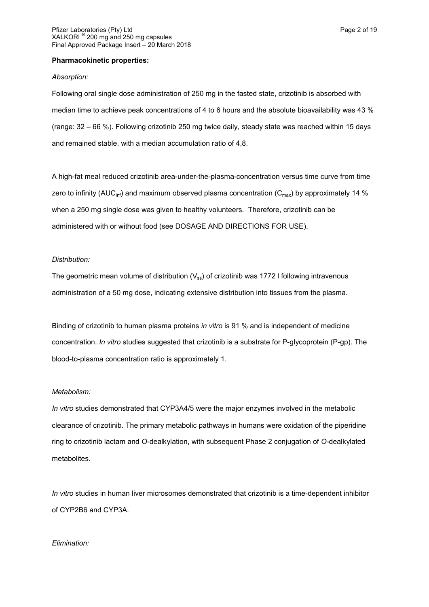#### **Pharmacokinetic properties:**

#### *Absorption:*

Following oral single dose administration of 250 mg in the fasted state, crizotinib is absorbed with median time to achieve peak concentrations of 4 to 6 hours and the absolute bioavailability was 43 % (range: 32 – 66 %). Following crizotinib 250 mg twice daily, steady state was reached within 15 days and remained stable, with a median accumulation ratio of 4,8.

A high-fat meal reduced crizotinib area-under-the-plasma-concentration versus time curve from time zero to infinity (AUC<sub>inf</sub>) and maximum observed plasma concentration (C<sub>max</sub>) by approximately 14 % when a 250 mg single dose was given to healthy volunteers. Therefore, crizotinib can be administered with or without food (see DOSAGE AND DIRECTIONS FOR USE).

#### *Distribution:*

The geometric mean volume of distribution ( $V_{ss}$ ) of crizotinib was 1772 I following intravenous administration of a 50 mg dose, indicating extensive distribution into tissues from the plasma.

Binding of crizotinib to human plasma proteins *in vitro* is 91 % and is independent of medicine concentration. *In vitro* studies suggested that crizotinib is a substrate for P-glycoprotein (P-gp). The blood-to-plasma concentration ratio is approximately 1.

#### *Metabolism:*

*In vitro* studies demonstrated that CYP3A4/5 were the major enzymes involved in the metabolic clearance of crizotinib. The primary metabolic pathways in humans were oxidation of the piperidine ring to crizotinib lactam and *O*-dealkylation, with subsequent Phase 2 conjugation of *O*-dealkylated metabolites.

*In vitro* studies in human liver microsomes demonstrated that crizotinib is a time-dependent inhibitor of CYP2B6 and CYP3A.

#### *Elimination:*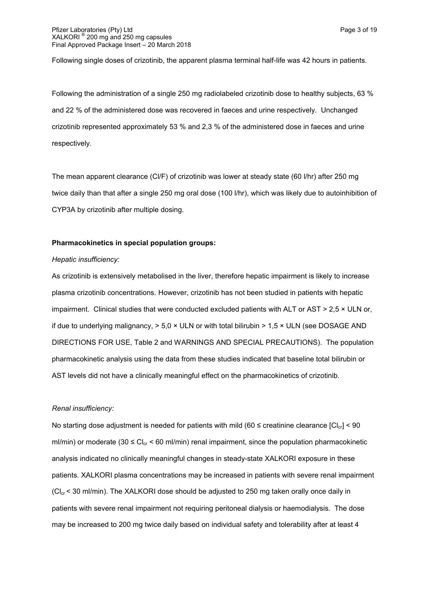Following single doses of crizotinib, the apparent plasma terminal half-life was 42 hours in patients.

Following the administration of a single 250 mg radiolabeled crizotinib dose to healthy subjects, 63 % and 22 % of the administered dose was recovered in faeces and urine respectively. Unchanged crizotinib represented approximately 53 % and 2,3 % of the administered dose in faeces and urine respectively.

The mean apparent clearance (Cl/F) of crizotinib was lower at steady state (60 l/hr) after 250 mg twice daily than that after a single 250 mg oral dose (100 l/hr), which was likely due to autoinhibition of CYP3A by crizotinib after multiple dosing.

## **Pharmacokinetics in special population groups:**

#### *Hepatic insufficiency:*

As crizotinib is extensively metabolised in the liver, therefore hepatic impairment is likely to increase plasma crizotinib concentrations. However, crizotinib has not been studied in patients with hepatic impairment. Clinical studies that were conducted excluded patients with ALT or AST > 2,5  $\times$  ULN or, if due to underlying malignancy,  $> 5.0 \times$  ULN or with total bilirubin  $> 1.5 \times$  ULN (see DOSAGE AND DIRECTIONS FOR USE, Table 2 and WARNINGS AND SPECIAL PRECAUTIONS). The population pharmacokinetic analysis using the data from these studies indicated that baseline total bilirubin or AST levels did not have a clinically meaningful effect on the pharmacokinetics of crizotinib.

#### *Renal insufficiency:*

No starting dose adjustment is needed for patients with mild (60  $\leq$  creatinine clearance  $|C|_{c1}$  < 90 ml/min) or moderate (30  $\leq$  Cl<sub>cr</sub>  $\leq$  60 ml/min) renal impairment, since the population pharmacokinetic analysis indicated no clinically meaningful changes in steady-state XALKORI exposure in these patients. XALKORI plasma concentrations may be increased in patients with severe renal impairment  $|Cl_{cr}$  < 30 ml/min). The XALKORI dose should be adjusted to 250 mg taken orally once daily in patients with severe renal impairment not requiring peritoneal dialysis or haemodialysis. The dose may be increased to 200 mg twice daily based on individual safety and tolerability after at least 4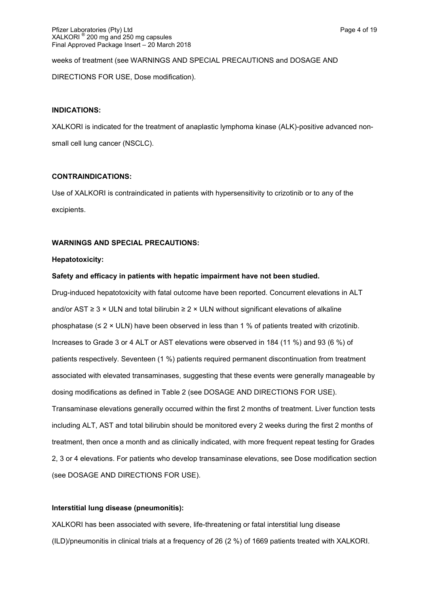weeks of treatment (see WARNINGS AND SPECIAL PRECAUTIONS and DOSAGE AND DIRECTIONS FOR USE, Dose modification).

## **INDICATIONS:**

XALKORI is indicated for the treatment of anaplastic lymphoma kinase (ALK)-positive advanced nonsmall cell lung cancer (NSCLC).

## **CONTRAINDICATIONS:**

Use of XALKORI is contraindicated in patients with hypersensitivity to crizotinib or to any of the excipients.

# **WARNINGS AND SPECIAL PRECAUTIONS:**

## **Hepatotoxicity:**

## **Safety and efficacy in patients with hepatic impairment have not been studied.**

Drug-induced hepatotoxicity with fatal outcome have been reported. Concurrent elevations in ALT and/or AST ≥ 3 × ULN and total bilirubin ≥ 2 × ULN without significant elevations of alkaline phosphatase ( $\leq 2 \times$  ULN) have been observed in less than 1 % of patients treated with crizotinib. Increases to Grade 3 or 4 ALT or AST elevations were observed in 184 (11 %) and 93 (6 %) of patients respectively. Seventeen (1 %) patients required permanent discontinuation from treatment associated with elevated transaminases, suggesting that these events were generally manageable by dosing modifications as defined in Table 2 (see DOSAGE AND DIRECTIONS FOR USE). Transaminase elevations generally occurred within the first 2 months of treatment. Liver function tests including ALT, AST and total bilirubin should be monitored every 2 weeks during the first 2 months of treatment, then once a month and as clinically indicated, with more frequent repeat testing for Grades 2, 3 or 4 elevations. For patients who develop transaminase elevations, see Dose modification section (see DOSAGE AND DIRECTIONS FOR USE).

# **Interstitial lung disease (pneumonitis):**

XALKORI has been associated with severe, life-threatening or fatal interstitial lung disease (ILD)/pneumonitis in clinical trials at a frequency of 26 (2 %) of 1669 patients treated with XALKORI.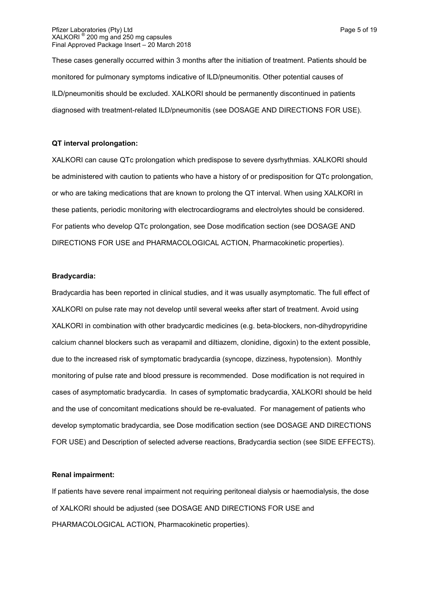These cases generally occurred within 3 months after the initiation of treatment. Patients should be monitored for pulmonary symptoms indicative of ILD/pneumonitis. Other potential causes of ILD/pneumonitis should be excluded. XALKORI should be permanently discontinued in patients diagnosed with treatment-related ILD/pneumonitis (see DOSAGE AND DIRECTIONS FOR USE).

## **QT interval prolongation:**

XALKORI can cause QTc prolongation which predispose to severe dysrhythmias. XALKORI should be administered with caution to patients who have a history of or predisposition for QTc prolongation, or who are taking medications that are known to prolong the QT interval. When using XALKORI in these patients, periodic monitoring with electrocardiograms and electrolytes should be considered. For patients who develop QTc prolongation, see Dose modification section (see DOSAGE AND DIRECTIONS FOR USE and PHARMACOLOGICAL ACTION, Pharmacokinetic properties).

#### **Bradycardia:**

Bradycardia has been reported in clinical studies, and it was usually asymptomatic. The full effect of XALKORI on pulse rate may not develop until several weeks after start of treatment. Avoid using XALKORI in combination with other bradycardic medicines (e.g. beta-blockers, non-dihydropyridine calcium channel blockers such as verapamil and diltiazem, clonidine, digoxin) to the extent possible, due to the increased risk of symptomatic bradycardia (syncope, dizziness, hypotension). Monthly monitoring of pulse rate and blood pressure is recommended. Dose modification is not required in cases of asymptomatic bradycardia. In cases of symptomatic bradycardia, XALKORI should be held and the use of concomitant medications should be re-evaluated. For management of patients who develop symptomatic bradycardia, see Dose modification section (see DOSAGE AND DIRECTIONS FOR USE) and Description of selected adverse reactions, Bradycardia section (see SIDE EFFECTS).

#### **Renal impairment:**

If patients have severe renal impairment not requiring peritoneal dialysis or haemodialysis, the dose of XALKORI should be adjusted (see DOSAGE AND DIRECTIONS FOR USE and PHARMACOLOGICAL ACTION, Pharmacokinetic properties).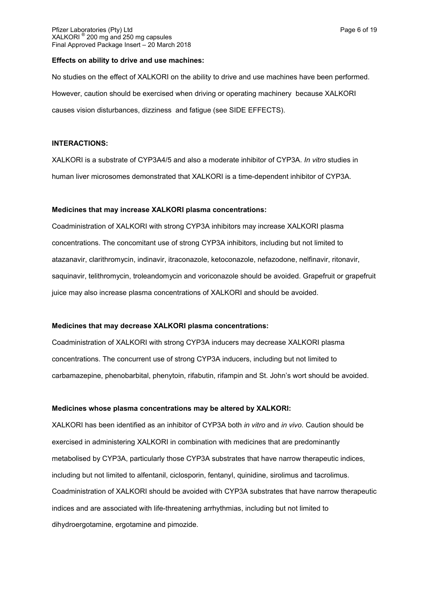#### **Effects on ability to drive and use machines:**

No studies on the effect of XALKORI on the ability to drive and use machines have been performed. However, caution should be exercised when driving or operating machinery because XALKORI causes vision disturbances, dizziness and fatigue (see SIDE EFFECTS).

#### **INTERACTIONS:**

XALKORI is a substrate of CYP3A4/5 and also a moderate inhibitor of CYP3A. *In vitro* studies in human liver microsomes demonstrated that XALKORI is a time-dependent inhibitor of CYP3A.

#### **Medicines that may increase XALKORI plasma concentrations:**

Coadministration of XALKORI with strong CYP3A inhibitors may increase XALKORI plasma concentrations. The concomitant use of strong CYP3A inhibitors, including but not limited to atazanavir, clarithromycin, indinavir, itraconazole, ketoconazole, nefazodone, nelfinavir, ritonavir, saquinavir, telithromycin, troleandomycin and voriconazole should be avoided. Grapefruit or grapefruit juice may also increase plasma concentrations of XALKORI and should be avoided.

#### **Medicines that may decrease XALKORI plasma concentrations:**

Coadministration of XALKORI with strong CYP3A inducers may decrease XALKORI plasma concentrations. The concurrent use of strong CYP3A inducers, including but not limited to carbamazepine, phenobarbital, phenytoin, rifabutin, rifampin and St. John's wort should be avoided.

## **Medicines whose plasma concentrations may be altered by XALKORI:**

XALKORI has been identified as an inhibitor of CYP3A both *in vitro* and *in vivo*. Caution should be exercised in administering XALKORI in combination with medicines that are predominantly metabolised by CYP3A, particularly those CYP3A substrates that have narrow therapeutic indices, including but not limited to alfentanil, ciclosporin, fentanyl, quinidine, sirolimus and tacrolimus. Coadministration of XALKORI should be avoided with CYP3A substrates that have narrow therapeutic indices and are associated with life-threatening arrhythmias, including but not limited to dihydroergotamine, ergotamine and pimozide.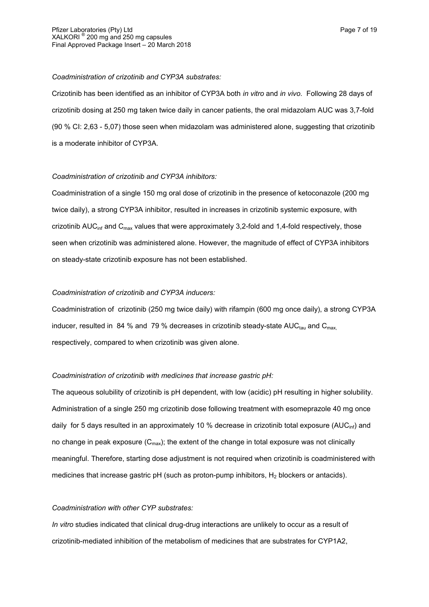#### *Coadministration of crizotinib and CYP3A substrates:*

Crizotinib has been identified as an inhibitor of CYP3A both *in vitro* and *in vivo*. Following 28 days of crizotinib dosing at 250 mg taken twice daily in cancer patients, the oral midazolam AUC was 3,7-fold (90 % CI: 2,63 - 5,07) those seen when midazolam was administered alone, suggesting that crizotinib is a moderate inhibitor of CYP3A.

## *Coadministration of crizotinib and CYP3A inhibitors:*

Coadministration of a single 150 mg oral dose of crizotinib in the presence of ketoconazole (200 mg twice daily), a strong CYP3A inhibitor, resulted in increases in crizotinib systemic exposure, with crizotinib  $AUC<sub>inf</sub>$  and  $C<sub>max</sub>$  values that were approximately 3,2-fold and 1,4-fold respectively, those seen when crizotinib was administered alone. However, the magnitude of effect of CYP3A inhibitors on steady-state crizotinib exposure has not been established.

# *Coadministration of crizotinib and CYP3A inducers:*

Coadministration of crizotinib (250 mg twice daily) with rifampin (600 mg once daily), a strong CYP3A inducer, resulted in 84 % and 79 % decreases in crizotinib steady-state AUC $_{\text{tau}}$  and C<sub>max</sub>, respectively, compared to when crizotinib was given alone.

# *Coadministration of crizotinib with medicines that increase gastric pH:*

The aqueous solubility of crizotinib is pH dependent, with low (acidic) pH resulting in higher solubility. Administration of a single 250 mg crizotinib dose following treatment with esomeprazole 40 mg once daily for 5 days resulted in an approximately 10 % decrease in crizotinib total exposure (AUC<sub>inf</sub>) and no change in peak exposure  $(C_{\text{max}})$ ; the extent of the change in total exposure was not clinically meaningful. Therefore, starting dose adjustment is not required when crizotinib is coadministered with medicines that increase gastric  $pH$  (such as proton-pump inhibitors,  $H_2$  blockers or antacids).

## *Coadministration with other CYP substrates:*

*In vitro* studies indicated that clinical drug-drug interactions are unlikely to occur as a result of crizotinib-mediated inhibition of the metabolism of medicines that are substrates for CYP1A2,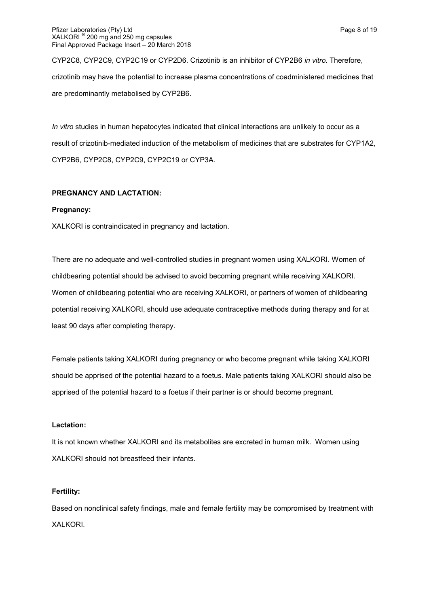#### Pfizer Laboratories (Pty) Ltd **Page 8 of 19** and Page 8 of 19 and Page 8 of 19 and Page 8 of 19 XALKORI ® 200 mg and 250 mg capsules Final Approved Package Insert – 20 March 2018

CYP2C8, CYP2C9, CYP2C19 or CYP2D6. Crizotinib is an inhibitor of CYP2B6 *in vitro*. Therefore, crizotinib may have the potential to increase plasma concentrations of coadministered medicines that are predominantly metabolised by CYP2B6.

*In vitro* studies in human hepatocytes indicated that clinical interactions are unlikely to occur as a result of crizotinib-mediated induction of the metabolism of medicines that are substrates for CYP1A2, CYP2B6, CYP2C8, CYP2C9, CYP2C19 or CYP3A.

# **PREGNANCY AND LACTATION:**

## **Pregnancy:**

XALKORI is contraindicated in pregnancy and lactation.

There are no adequate and well-controlled studies in pregnant women using XALKORI. Women of childbearing potential should be advised to avoid becoming pregnant while receiving XALKORI. Women of childbearing potential who are receiving XALKORI, or partners of women of childbearing potential receiving XALKORI, should use adequate contraceptive methods during therapy and for at least 90 days after completing therapy.

Female patients taking XALKORI during pregnancy or who become pregnant while taking XALKORI should be apprised of the potential hazard to a foetus. Male patients taking XALKORI should also be apprised of the potential hazard to a foetus if their partner is or should become pregnant.

#### **Lactation:**

It is not known whether XALKORI and its metabolites are excreted in human milk. Women using XALKORI should not breastfeed their infants.

## **Fertility:**

Based on nonclinical safety findings, male and female fertility may be compromised by treatment with XALKORI.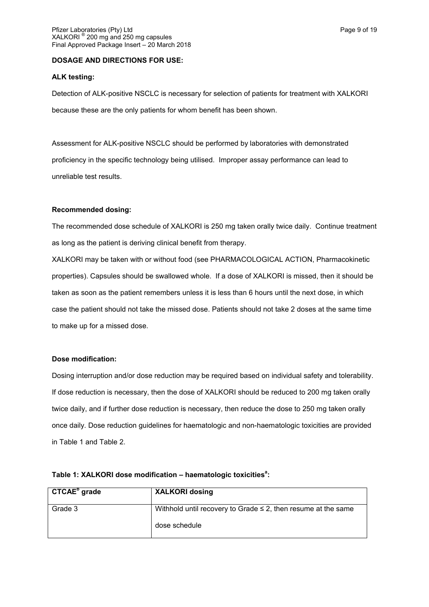## **DOSAGE AND DIRECTIONS FOR USE:**

## **ALK testing:**

Detection of ALK-positive NSCLC is necessary for selection of patients for treatment with XALKORI because these are the only patients for whom benefit has been shown.

Assessment for ALK-positive NSCLC should be performed by laboratories with demonstrated proficiency in the specific technology being utilised. Improper assay performance can lead to unreliable test results.

## **Recommended dosing:**

The recommended dose schedule of XALKORI is 250 mg taken orally twice daily. Continue treatment as long as the patient is deriving clinical benefit from therapy.

XALKORI may be taken with or without food (see PHARMACOLOGICAL ACTION, Pharmacokinetic properties). Capsules should be swallowed whole. If a dose of XALKORI is missed, then it should be taken as soon as the patient remembers unless it is less than 6 hours until the next dose, in which case the patient should not take the missed dose. Patients should not take 2 doses at the same time to make up for a missed dose.

## **Dose modification:**

Dosing interruption and/or dose reduction may be required based on individual safety and tolerability. If dose reduction is necessary, then the dose of XALKORI should be reduced to 200 mg taken orally twice daily, and if further dose reduction is necessary, then reduce the dose to 250 mg taken orally once daily. Dose reduction guidelines for haematologic and non-haematologic toxicities are provided in Table 1 and Table 2.

| CTCAE <sup>b</sup> grade | <b>XALKORI dosing</b>                                              |
|--------------------------|--------------------------------------------------------------------|
| Grade 3                  | Withhold until recovery to Grade $\leq$ 2, then resume at the same |
|                          | dose schedule                                                      |

# **Table 1: XALKORI dose modification – haematologic toxicities<sup>a</sup> :**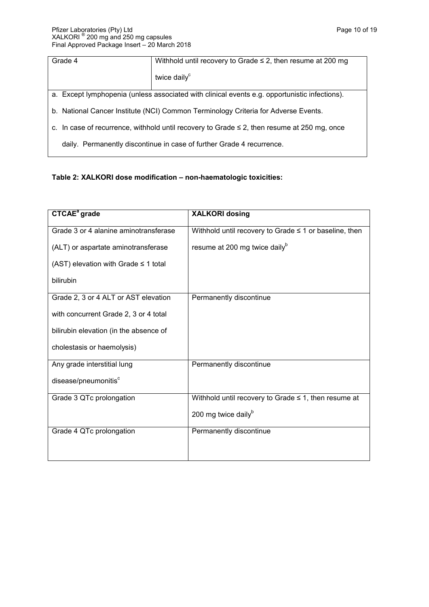| Grade 4                                                                                          | Withhold until recovery to Grade $\leq$ 2, then resume at 200 mg |  |  |
|--------------------------------------------------------------------------------------------------|------------------------------------------------------------------|--|--|
|                                                                                                  | twice daily <sup>c</sup>                                         |  |  |
| a. Except lymphopenia (unless associated with clinical events e.g. opportunistic infections).    |                                                                  |  |  |
| b. National Cancer Institute (NCI) Common Terminology Criteria for Adverse Events.               |                                                                  |  |  |
| c. In case of recurrence, withhold until recovery to Grade $\leq$ 2, then resume at 250 mg, once |                                                                  |  |  |
| daily. Permanently discontinue in case of further Grade 4 recurrence.                            |                                                                  |  |  |

# **Table 2: XALKORI dose modification – non-haematologic toxicities:**

| <b>CTCAE<sup>ª</sup></b> grade            | <b>XALKORI dosing</b>                                       |  |
|-------------------------------------------|-------------------------------------------------------------|--|
| Grade 3 or 4 alanine aminotransferase     | Withhold until recovery to Grade $\leq$ 1 or baseline, then |  |
| (ALT) or aspartate aminotransferase       | resume at 200 mg twice daily <sup>b</sup>                   |  |
| (AST) elevation with Grade $\leq$ 1 total |                                                             |  |
| bilirubin                                 |                                                             |  |
| Grade 2, 3 or 4 ALT or AST elevation      | Permanently discontinue                                     |  |
| with concurrent Grade 2, 3 or 4 total     |                                                             |  |
| bilirubin elevation (in the absence of    |                                                             |  |
| cholestasis or haemolysis)                |                                                             |  |
| Any grade interstitial lung               | Permanently discontinue                                     |  |
| disease/pneumonitis <sup>c</sup>          |                                                             |  |
| Grade 3 QTc prolongation                  | Withhold until recovery to Grade $\leq$ 1, then resume at   |  |
|                                           | 200 mg twice daily $\mu$                                    |  |
| Grade 4 QTc prolongation                  | Permanently discontinue                                     |  |
|                                           |                                                             |  |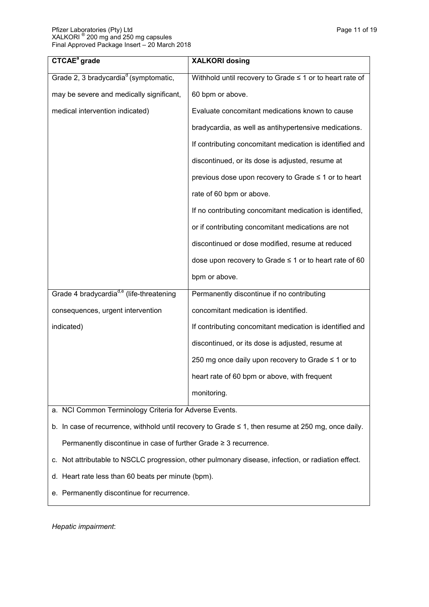| <b>CTCAE<sup>a</sup></b> grade                       | <b>XALKORI dosing</b>                                    |
|------------------------------------------------------|----------------------------------------------------------|
| Grade 2, 3 bradycardia <sup>d</sup> (symptomatic,    | Withhold until recovery to Grade ≤ 1 or to heart rate of |
| may be severe and medically significant,             | 60 bpm or above.                                         |
| medical intervention indicated)                      | Evaluate concomitant medications known to cause          |
|                                                      | bradycardia, as well as antihypertensive medications.    |
|                                                      | If contributing concomitant medication is identified and |
|                                                      | discontinued, or its dose is adjusted, resume at         |
|                                                      | previous dose upon recovery to Grade ≤ 1 or to heart     |
|                                                      | rate of 60 bpm or above.                                 |
|                                                      | If no contributing concomitant medication is identified, |
|                                                      | or if contributing concomitant medications are not       |
|                                                      | discontinued or dose modified, resume at reduced         |
|                                                      | dose upon recovery to Grade ≤ 1 or to heart rate of 60   |
|                                                      | bpm or above.                                            |
| Grade 4 bradycardia <sup>d,e</sup> (life-threatening | Permanently discontinue if no contributing               |
| consequences, urgent intervention                    | concomitant medication is identified.                    |
| indicated)                                           | If contributing concomitant medication is identified and |
|                                                      | discontinued, or its dose is adjusted, resume at         |
|                                                      | 250 mg once daily upon recovery to Grade ≤ 1 or to       |
|                                                      | heart rate of 60 bpm or above, with frequent             |
|                                                      | monitoring.                                              |

a. NCI Common Terminology Criteria for Adverse Events.

b. In case of recurrence, withhold until recovery to Grade ≤ 1, then resume at 250 mg, once daily. Permanently discontinue in case of further Grade ≥ 3 recurrence.

- c. Not attributable to NSCLC progression, other pulmonary disease, infection, or radiation effect.
- d. Heart rate less than 60 beats per minute (bpm).
- e. Permanently discontinue for recurrence.

*Hepatic impairment*: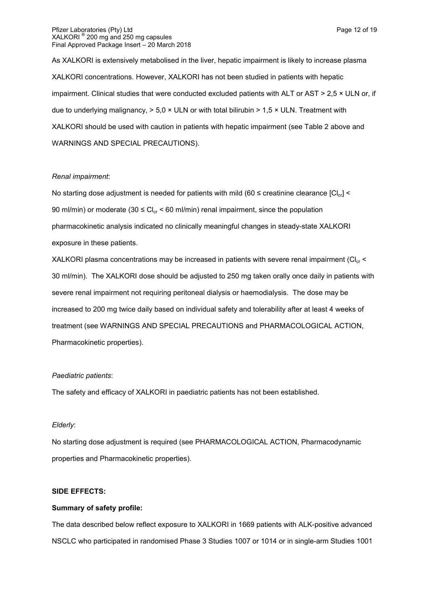#### Pfizer Laboratories (Pty) Ltd **Page 12 of 19** Pfizer Laboratories (Pty) Ltd XALKORI ® 200 mg and 250 mg capsules Final Approved Package Insert – 20 March 2018

As XALKORI is extensively metabolised in the liver, hepatic impairment is likely to increase plasma XALKORI concentrations. However, XALKORI has not been studied in patients with hepatic impairment. Clinical studies that were conducted excluded patients with ALT or AST > 2,5 × ULN or, if due to underlying malignancy,  $> 5.0 \times$  ULN or with total bilirubin  $> 1.5 \times$  ULN. Treatment with XALKORI should be used with caution in patients with hepatic impairment (see Table 2 above and WARNINGS AND SPECIAL PRECAUTIONS).

# *Renal impairment*:

No starting dose adjustment is needed for patients with mild (60  $\leq$  creatinine clearance  $|Cl_{cr}|$  < 90 ml/min) or moderate (30  $\leq$  Cl<sub>cr</sub> < 60 ml/min) renal impairment, since the population pharmacokinetic analysis indicated no clinically meaningful changes in steady-state XALKORI exposure in these patients.

XALKORI plasma concentrations may be increased in patients with severe renal impairment ( $Cl<sub>cr</sub>$  < 30 ml/min). The XALKORI dose should be adjusted to 250 mg taken orally once daily in patients with severe renal impairment not requiring peritoneal dialysis or haemodialysis. The dose may be increased to 200 mg twice daily based on individual safety and tolerability after at least 4 weeks of treatment (see WARNINGS AND SPECIAL PRECAUTIONS and PHARMACOLOGICAL ACTION, Pharmacokinetic properties).

# *Paediatric patients*:

The safety and efficacy of XALKORI in paediatric patients has not been established.

# *Elderly*:

No starting dose adjustment is required (see PHARMACOLOGICAL ACTION, Pharmacodynamic properties and Pharmacokinetic properties).

# **SIDE EFFECTS:**

# **Summary of safety profile:**

The data described below reflect exposure to XALKORI in 1669 patients with ALK-positive advanced NSCLC who participated in randomised Phase 3 Studies 1007 or 1014 or in single-arm Studies 1001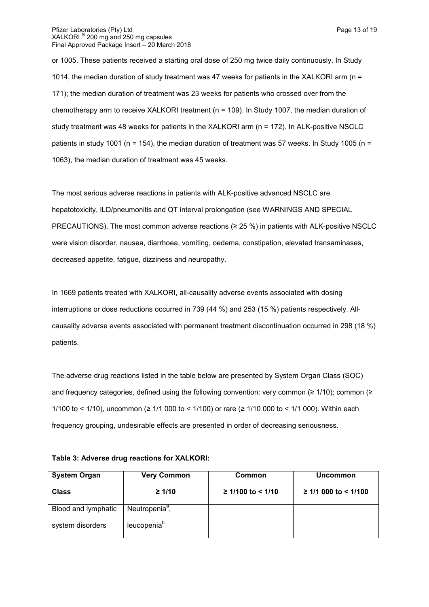or 1005. These patients received a starting oral dose of 250 mg twice daily continuously. In Study 1014, the median duration of study treatment was 47 weeks for patients in the XALKORI arm (n = 171); the median duration of treatment was 23 weeks for patients who crossed over from the chemotherapy arm to receive XALKORI treatment (n = 109). In Study 1007, the median duration of study treatment was 48 weeks for patients in the XALKORI arm (n = 172). In ALK-positive NSCLC

patients in study 1001 (n = 154), the median duration of treatment was 57 weeks. In Study 1005 (n = 1063), the median duration of treatment was 45 weeks.

The most serious adverse reactions in patients with ALK-positive advanced NSCLC are hepatotoxicity, ILD/pneumonitis and QT interval prolongation (see WARNINGS AND SPECIAL PRECAUTIONS). The most common adverse reactions (≥ 25 %) in patients with ALK-positive NSCLC were vision disorder, nausea, diarrhoea, vomiting, oedema, constipation, elevated transaminases, decreased appetite, fatigue, dizziness and neuropathy.

In 1669 patients treated with XALKORI, all-causality adverse events associated with dosing interruptions or dose reductions occurred in 739 (44 %) and 253 (15 %) patients respectively. Allcausality adverse events associated with permanent treatment discontinuation occurred in 298 (18 %) patients.

The adverse drug reactions listed in the table below are presented by System Organ Class (SOC) and frequency categories, defined using the following convention: very common ( $\geq 1/10$ ); common ( $\geq$ 1/100 to < 1/10), uncommon (≥ 1/1 000 to < 1/100) or rare (≥ 1/10 000 to < 1/1 000). Within each frequency grouping, undesirable effects are presented in order of decreasing seriousness.

| Table 3: Adverse drug reactions for XALKORI: |  |
|----------------------------------------------|--|
|----------------------------------------------|--|

| <b>System Organ</b> | <b>Very Common</b>         | Common              | <b>Uncommon</b>       |
|---------------------|----------------------------|---------------------|-----------------------|
| <b>Class</b>        | $\geq 1/10$                | $≥ 1/100$ to < 1/10 | $≥ 1/1000$ to < 1/100 |
| Blood and lymphatic | Neutropenia <sup>a</sup> , |                     |                       |
| system disorders    | leucopenia <sup>b</sup>    |                     |                       |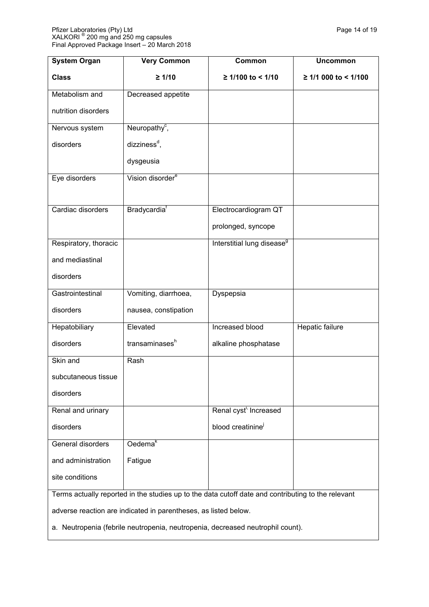| <b>System Organ</b>                                                                                | <b>Very Common</b>           | Common                                 | <b>Uncommon</b>       |
|----------------------------------------------------------------------------------------------------|------------------------------|----------------------------------------|-----------------------|
| <b>Class</b>                                                                                       | $\geq 1/10$                  | ≥ 1/100 to < 1/10                      | $≥ 1/1000$ to < 1/100 |
| Metabolism and                                                                                     | Decreased appetite           |                                        |                       |
| nutrition disorders                                                                                |                              |                                        |                       |
| Nervous system                                                                                     | Neuropathy <sup>c</sup> ,    |                                        |                       |
| disorders                                                                                          | dizziness <sup>d</sup> ,     |                                        |                       |
|                                                                                                    | dysgeusia                    |                                        |                       |
| Eye disorders                                                                                      | Vision disorder <sup>e</sup> |                                        |                       |
|                                                                                                    |                              |                                        |                       |
| Cardiac disorders                                                                                  | Bradycardia <sup>t</sup>     | Electrocardiogram QT                   |                       |
|                                                                                                    |                              | prolonged, syncope                     |                       |
| Respiratory, thoracic                                                                              |                              | Interstitial lung disease <sup>9</sup> |                       |
| and mediastinal                                                                                    |                              |                                        |                       |
| disorders                                                                                          |                              |                                        |                       |
| Gastrointestinal                                                                                   | Vomiting, diarrhoea,         | Dyspepsia                              |                       |
| disorders                                                                                          | nausea, constipation         |                                        |                       |
| Hepatobiliary                                                                                      | Elevated                     | Increased blood                        | Hepatic failure       |
| disorders                                                                                          | transaminases <sup>h</sup>   | alkaline phosphatase                   |                       |
| Skin and                                                                                           | Rash                         |                                        |                       |
| subcutaneous tissue                                                                                |                              |                                        |                       |
| disorders                                                                                          |                              |                                        |                       |
| Renal and urinary                                                                                  |                              | Renal cyst <sup>1</sup> Increased      |                       |
| disorders                                                                                          |                              | blood creatinine                       |                       |
| General disorders                                                                                  | $O$ edema $k$                |                                        |                       |
| and administration                                                                                 | Fatigue                      |                                        |                       |
| site conditions                                                                                    |                              |                                        |                       |
| Terms actually reported in the studies up to the data cutoff date and contributing to the relevant |                              |                                        |                       |

adverse reaction are indicated in parentheses, as listed below.

a. Neutropenia (febrile neutropenia, neutropenia, decreased neutrophil count).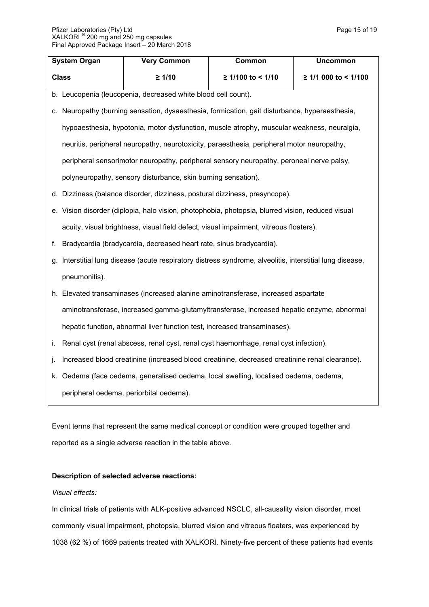|              | <b>System Organ</b>                                                                                       | Very Common                                                                 | Common                                                                                            | <b>Uncommon</b>      |
|--------------|-----------------------------------------------------------------------------------------------------------|-----------------------------------------------------------------------------|---------------------------------------------------------------------------------------------------|----------------------|
| <b>Class</b> |                                                                                                           | $\geq 1/10$                                                                 | ≥ 1/100 to < 1/10                                                                                 | ≥ 1/1 000 to < 1/100 |
| b.           |                                                                                                           | Leucopenia (leucopenia, decreased white blood cell count).                  |                                                                                                   |                      |
|              | c. Neuropathy (burning sensation, dysaesthesia, formication, gait disturbance, hyperaesthesia,            |                                                                             |                                                                                                   |                      |
|              | hypoaesthesia, hypotonia, motor dysfunction, muscle atrophy, muscular weakness, neuralgia,                |                                                                             |                                                                                                   |                      |
|              |                                                                                                           |                                                                             | neuritis, peripheral neuropathy, neurotoxicity, paraesthesia, peripheral motor neuropathy,        |                      |
|              |                                                                                                           |                                                                             | peripheral sensorimotor neuropathy, peripheral sensory neuropathy, peroneal nerve palsy,          |                      |
|              | polyneuropathy, sensory disturbance, skin burning sensation).                                             |                                                                             |                                                                                                   |                      |
|              |                                                                                                           | d. Dizziness (balance disorder, dizziness, postural dizziness, presyncope). |                                                                                                   |                      |
|              |                                                                                                           |                                                                             | e. Vision disorder (diplopia, halo vision, photophobia, photopsia, blurred vision, reduced visual |                      |
|              | acuity, visual brightness, visual field defect, visual impairment, vitreous floaters).                    |                                                                             |                                                                                                   |                      |
| f.           | Bradycardia (bradycardia, decreased heart rate, sinus bradycardia).                                       |                                                                             |                                                                                                   |                      |
|              | g. Interstitial lung disease (acute respiratory distress syndrome, alveolitis, interstitial lung disease, |                                                                             |                                                                                                   |                      |
|              | pneumonitis).                                                                                             |                                                                             |                                                                                                   |                      |
|              | h. Elevated transaminases (increased alanine aminotransferase, increased aspartate                        |                                                                             |                                                                                                   |                      |
|              | aminotransferase, increased gamma-glutamyltransferase, increased hepatic enzyme, abnormal                 |                                                                             |                                                                                                   |                      |
|              | hepatic function, abnormal liver function test, increased transaminases).                                 |                                                                             |                                                                                                   |                      |
| Τ.           |                                                                                                           |                                                                             | Renal cyst (renal abscess, renal cyst, renal cyst haemorrhage, renal cyst infection).             |                      |
| J.           |                                                                                                           |                                                                             | Increased blood creatinine (increased blood creatinine, decreased creatinine renal clearance).    |                      |
|              |                                                                                                           |                                                                             | k. Oedema (face oedema, generalised oedema, local swelling, localised oedema, oedema,             |                      |
|              |                                                                                                           | peripheral oedema, periorbital oedema).                                     |                                                                                                   |                      |

Event terms that represent the same medical concept or condition were grouped together and reported as a single adverse reaction in the table above.

## **Description of selected adverse reactions:**

# *Visual effects:*

In clinical trials of patients with ALK-positive advanced NSCLC, all-causality vision disorder, most commonly visual impairment, photopsia, blurred vision and vitreous floaters, was experienced by 1038 (62 %) of 1669 patients treated with XALKORI. Ninety-five percent of these patients had events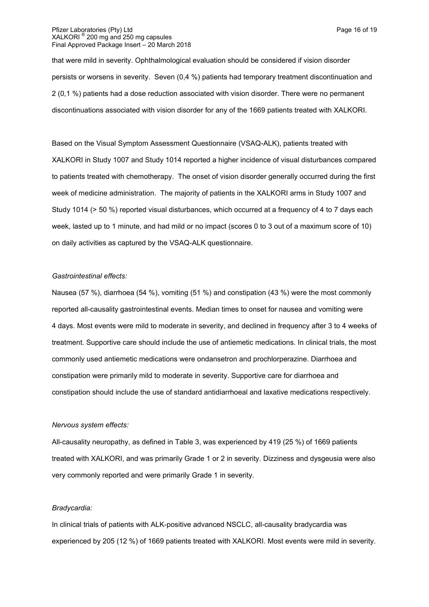#### Pfizer Laboratories (Pty) Ltd **Page 16 of 19** Pfizer Laboratories (Pty) Ltd XALKORI ® 200 mg and 250 mg capsules Final Approved Package Insert – 20 March 2018

that were mild in severity. Ophthalmological evaluation should be considered if vision disorder persists or worsens in severity. Seven (0,4 %) patients had temporary treatment discontinuation and 2 (0,1 %) patients had a dose reduction associated with vision disorder. There were no permanent discontinuations associated with vision disorder for any of the 1669 patients treated with XALKORI.

Based on the Visual Symptom Assessment Questionnaire (VSAQ-ALK), patients treated with XALKORI in Study 1007 and Study 1014 reported a higher incidence of visual disturbances compared to patients treated with chemotherapy. The onset of vision disorder generally occurred during the first week of medicine administration. The majority of patients in the XALKORI arms in Study 1007 and Study 1014 (> 50 %) reported visual disturbances, which occurred at a frequency of 4 to 7 days each week, lasted up to 1 minute, and had mild or no impact (scores 0 to 3 out of a maximum score of 10) on daily activities as captured by the VSAQ-ALK questionnaire.

## *Gastrointestinal effects:*

Nausea (57 %), diarrhoea (54 %), vomiting (51 %) and constipation (43 %) were the most commonly reported all-causality gastrointestinal events. Median times to onset for nausea and vomiting were 4 days. Most events were mild to moderate in severity, and declined in frequency after 3 to 4 weeks of treatment. Supportive care should include the use of antiemetic medications. In clinical trials, the most commonly used antiemetic medications were ondansetron and prochlorperazine. Diarrhoea and constipation were primarily mild to moderate in severity. Supportive care for diarrhoea and constipation should include the use of standard antidiarrhoeal and laxative medications respectively.

#### *Nervous system effects:*

All-causality neuropathy, as defined in Table 3, was experienced by 419 (25 %) of 1669 patients treated with XALKORI, and was primarily Grade 1 or 2 in severity. Dizziness and dysgeusia were also very commonly reported and were primarily Grade 1 in severity.

## *Bradycardia:*

In clinical trials of patients with ALK-positive advanced NSCLC, all-causality bradycardia was experienced by 205 (12 %) of 1669 patients treated with XALKORI. Most events were mild in severity.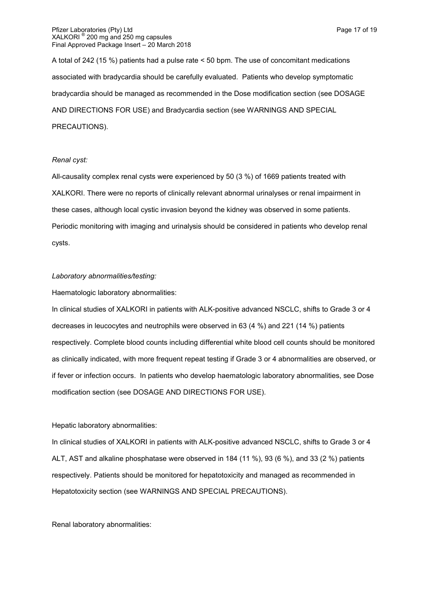A total of 242 (15 %) patients had a pulse rate < 50 bpm. The use of concomitant medications associated with bradycardia should be carefully evaluated. Patients who develop symptomatic bradycardia should be managed as recommended in the Dose modification section (see DOSAGE AND DIRECTIONS FOR USE) and Bradycardia section (see WARNINGS AND SPECIAL PRECAUTIONS).

#### *Renal cyst:*

All-causality complex renal cysts were experienced by 50 (3 %) of 1669 patients treated with XALKORI. There were no reports of clinically relevant abnormal urinalyses or renal impairment in these cases, although local cystic invasion beyond the kidney was observed in some patients. Periodic monitoring with imaging and urinalysis should be considered in patients who develop renal cysts.

#### *Laboratory abnormalities/testing:*

Haematologic laboratory abnormalities:

In clinical studies of XALKORI in patients with ALK-positive advanced NSCLC, shifts to Grade 3 or 4 decreases in leucocytes and neutrophils were observed in 63 (4 %) and 221 (14 %) patients respectively. Complete blood counts including differential white blood cell counts should be monitored as clinically indicated, with more frequent repeat testing if Grade 3 or 4 abnormalities are observed, or if fever or infection occurs. In patients who develop haematologic laboratory abnormalities, see Dose modification section (see DOSAGE AND DIRECTIONS FOR USE).

## Hepatic laboratory abnormalities:

In clinical studies of XALKORI in patients with ALK-positive advanced NSCLC, shifts to Grade 3 or 4 ALT, AST and alkaline phosphatase were observed in 184 (11 %), 93 (6 %), and 33 (2 %) patients respectively. Patients should be monitored for hepatotoxicity and managed as recommended in Hepatotoxicity section (see WARNINGS AND SPECIAL PRECAUTIONS).

Renal laboratory abnormalities: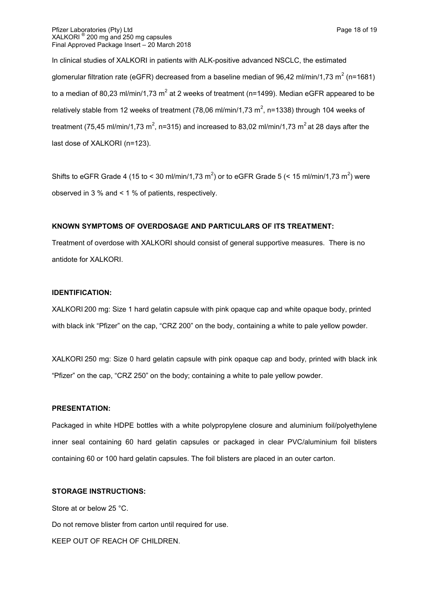In clinical studies of XALKORI in patients with ALK-positive advanced NSCLC, the estimated glomerular filtration rate (eGFR) decreased from a baseline median of 96,42 ml/min/1,73 m<sup>2</sup> (n=1681) to a median of 80,23 ml/min/1,73 m<sup>2</sup> at 2 weeks of treatment (n=1499). Median eGFR appeared to be relatively stable from 12 weeks of treatment (78,06 ml/min/1,73 m<sup>2</sup>, n=1338) through 104 weeks of treatment (75,45 ml/min/1,73 m<sup>2</sup>, n=315) and increased to 83,02 ml/min/1,73 m<sup>2</sup> at 28 days after the last dose of XALKORI (n=123).

Shifts to eGFR Grade 4 (15 to < 30 ml/min/1,73 m<sup>2</sup>) or to eGFR Grade 5 (< 15 ml/min/1,73 m<sup>2</sup>) were observed in 3 % and < 1 % of patients, respectively.

## **KNOWN SYMPTOMS OF OVERDOSAGE AND PARTICULARS OF ITS TREATMENT:**

Treatment of overdose with XALKORI should consist of general supportive measures. There is no antidote for XALKORI.

#### **IDENTIFICATION:**

XALKORI 200 mg: Size 1 hard gelatin capsule with pink opaque cap and white opaque body, printed with black ink "Pfizer" on the cap, "CRZ 200" on the body, containing a white to pale yellow powder.

XALKORI 250 mg: Size 0 hard gelatin capsule with pink opaque cap and body, printed with black ink "Pfizer" on the cap, "CRZ 250" on the body; containing a white to pale yellow powder.

#### **PRESENTATION:**

Packaged in white HDPE bottles with a white polypropylene closure and aluminium foil/polyethylene inner seal containing 60 hard gelatin capsules or packaged in clear PVC/aluminium foil blisters containing 60 or 100 hard gelatin capsules. The foil blisters are placed in an outer carton.

#### **STORAGE INSTRUCTIONS:**

Store at or below 25 °C. Do not remove blister from carton until required for use.

KEEP OUT OF REACH OF CHILDREN.